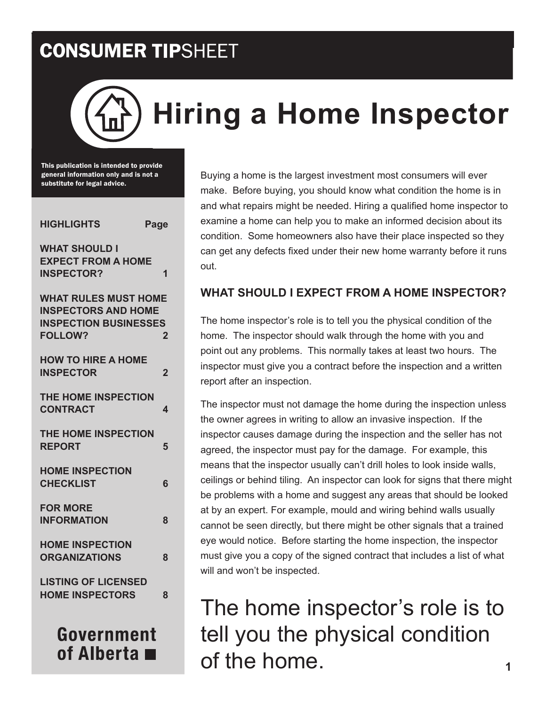# **Hiring a Home Inspector**

This publication is intended to provide general information only and is not a substitute for legal advice.

| <b>WHAT SHOULD I</b><br><b>EXPECT FROM A HOME</b><br><b>INSPECTOR?</b><br>1<br><b>WHAT RULES MUST HOME</b><br><b>INSPECTORS AND HOME</b><br><b>INSPECTION BUSINESSES</b><br><b>FOLLOW?</b><br>2<br><b>HOW TO HIRE A HOME</b><br><b>INSPECTOR</b><br>$\overline{2}$<br><b>THE HOME INSPECTION</b><br><b>CONTRACT</b><br>4<br><b>THE HOME INSPECTION</b><br><b>REPORT</b><br>5<br><b>HOME INSPECTION</b><br><b>CHECKLIST</b><br>6<br><b>FOR MORE</b><br><b>INFORMATION</b><br>8<br><b>HOME INSPECTION</b><br><b>ORGANIZATIONS</b><br>8<br><b>LISTING OF LICENSED</b> | <b>HIGHLIGHTS</b> | Page |
|--------------------------------------------------------------------------------------------------------------------------------------------------------------------------------------------------------------------------------------------------------------------------------------------------------------------------------------------------------------------------------------------------------------------------------------------------------------------------------------------------------------------------------------------------------------------|-------------------|------|
|                                                                                                                                                                                                                                                                                                                                                                                                                                                                                                                                                                    |                   |      |
|                                                                                                                                                                                                                                                                                                                                                                                                                                                                                                                                                                    |                   |      |
|                                                                                                                                                                                                                                                                                                                                                                                                                                                                                                                                                                    |                   |      |
|                                                                                                                                                                                                                                                                                                                                                                                                                                                                                                                                                                    |                   |      |
|                                                                                                                                                                                                                                                                                                                                                                                                                                                                                                                                                                    |                   |      |
|                                                                                                                                                                                                                                                                                                                                                                                                                                                                                                                                                                    |                   |      |
|                                                                                                                                                                                                                                                                                                                                                                                                                                                                                                                                                                    |                   |      |
|                                                                                                                                                                                                                                                                                                                                                                                                                                                                                                                                                                    |                   |      |
| <b>HOME INSPECTORS</b><br>8                                                                                                                                                                                                                                                                                                                                                                                                                                                                                                                                        |                   |      |

Government of Alberta  $\blacksquare$ 

Buying a home is the largest investment most consumers will ever make. Before buying, you should know what condition the home is in and what repairs might be needed. Hiring a qualified home inspector to examine a home can help you to make an informed decision about its condition. Some homeowners also have their place inspected so they can get any defects fixed under their new home warranty before it runs out.

#### **WHAT SHOULD I EXPECT FROM A HOME INSPECTOR?**

The home inspector's role is to tell you the physical condition of the home. The inspector should walk through the home with you and point out any problems. This normally takes at least two hours. The inspector must give you a contract before the inspection and a written report after an inspection.

The inspector must not damage the home during the inspection unless the owner agrees in writing to allow an invasive inspection. If the inspector causes damage during the inspection and the seller has not agreed, the inspector must pay for the damage. For example, this means that the inspector usually can't drill holes to look inside walls, ceilings or behind tiling. An inspector can look for signs that there might be problems with a home and suggest any areas that should be looked at by an expert. For example, mould and wiring behind walls usually cannot be seen directly, but there might be other signals that a trained eye would notice. Before starting the home inspection, the inspector must give you a copy of the signed contract that includes a list of what will and won't be inspected.

## The home inspector's role is to tell you the physical condition of the home.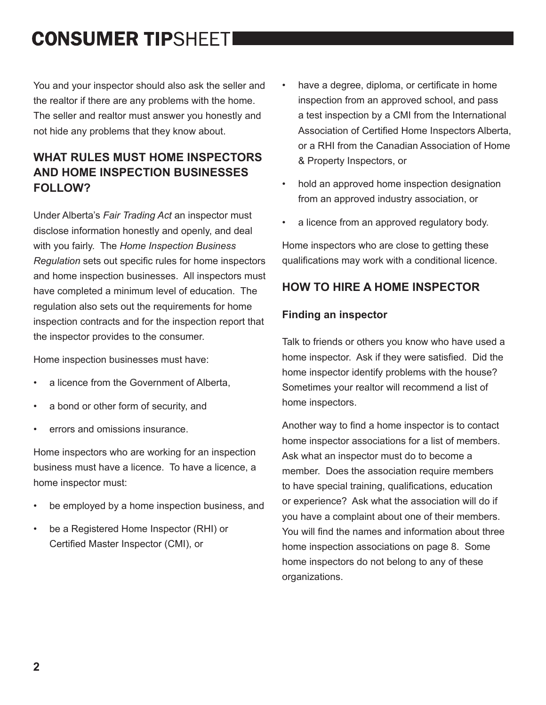You and your inspector should also ask the seller and the realtor if there are any problems with the home. The seller and realtor must answer you honestly and not hide any problems that they know about.

#### **WHAT RULES MUST HOME INSPECTORS AND HOME INSPECTION BUSINESSES FOLLOW?**

Under Alberta's *Fair Trading Act* an inspector must disclose information honestly and openly, and deal with you fairly. The *Home Inspection Business Regulation* sets out specific rules for home inspectors and home inspection businesses. All inspectors must have completed a minimum level of education. The regulation also sets out the requirements for home inspection contracts and for the inspection report that the inspector provides to the consumer.

Home inspection businesses must have:

- a licence from the Government of Alberta.
- a bond or other form of security, and
- errors and omissions insurance.

Home inspectors who are working for an inspection business must have a licence. To have a licence, a home inspector must:

- be employed by a home inspection business, and
- be a Registered Home Inspector (RHI) or Certified Master Inspector (CMI), or
- have a degree, diploma, or certificate in home inspection from an approved school, and pass a test inspection by a CMI from the International Association of Certified Home Inspectors Alberta, or a RHI from the Canadian Association of Home & Property Inspectors, or
- hold an approved home inspection designation from an approved industry association, or
- a licence from an approved regulatory body.

Home inspectors who are close to getting these qualifications may work with a conditional licence.

#### **HOW TO HIRE A HOME INSPECTOR**

#### **Finding an inspector**

Talk to friends or others you know who have used a home inspector. Ask if they were satisfied. Did the home inspector identify problems with the house? Sometimes your realtor will recommend a list of home inspectors.

Another way to find a home inspector is to contact home inspector associations for a list of members. Ask what an inspector must do to become a member. Does the association require members to have special training, qualifications, education or experience? Ask what the association will do if you have a complaint about one of their members. You will find the names and information about three home inspection associations on page 8. Some home inspectors do not belong to any of these organizations.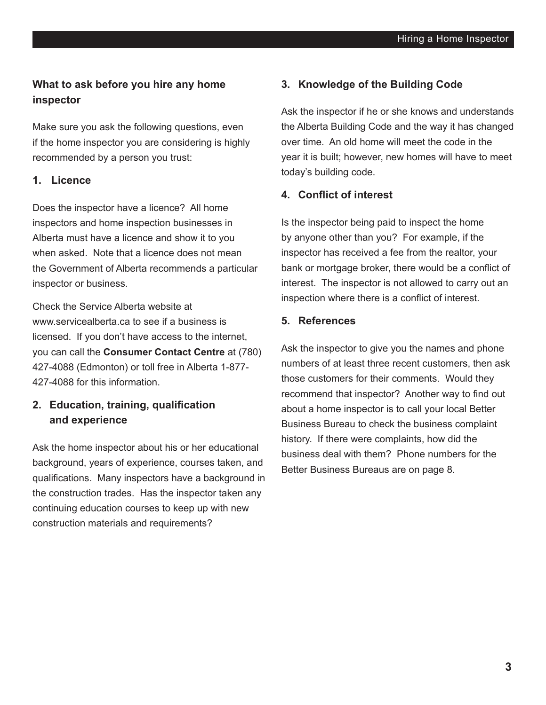#### **What to ask before you hire any home inspector**

Make sure you ask the following questions, even if the home inspector you are considering is highly recommended by a person you trust:

#### **1. Licence**

Does the inspector have a licence? All home inspectors and home inspection businesses in Alberta must have a licence and show it to you when asked. Note that a licence does not mean the Government of Alberta recommends a particular inspector or business.

Check the Service Alberta website at www.servicealberta.ca to see if a business is licensed. If you don't have access to the internet, you can call the **Consumer Contact Centre** at (780) 427-4088 (Edmonton) or toll free in Alberta 1-877- 427-4088 for this information.

#### **2. Education, training, qualification and experience**

Ask the home inspector about his or her educational background, years of experience, courses taken, and qualifications. Many inspectors have a background in the construction trades. Has the inspector taken any continuing education courses to keep up with new construction materials and requirements?

#### **3. Knowledge of the Building Code**

Ask the inspector if he or she knows and understands the Alberta Building Code and the way it has changed over time. An old home will meet the code in the year it is built; however, new homes will have to meet today's building code.

#### **4. Conflict of interest**

Is the inspector being paid to inspect the home by anyone other than you? For example, if the inspector has received a fee from the realtor, your bank or mortgage broker, there would be a conflict of interest. The inspector is not allowed to carry out an inspection where there is a conflict of interest.

#### **5. References**

Ask the inspector to give you the names and phone numbers of at least three recent customers, then ask those customers for their comments. Would they recommend that inspector? Another way to find out about a home inspector is to call your local Better Business Bureau to check the business complaint history. If there were complaints, how did the business deal with them? Phone numbers for the Better Business Bureaus are on page 8.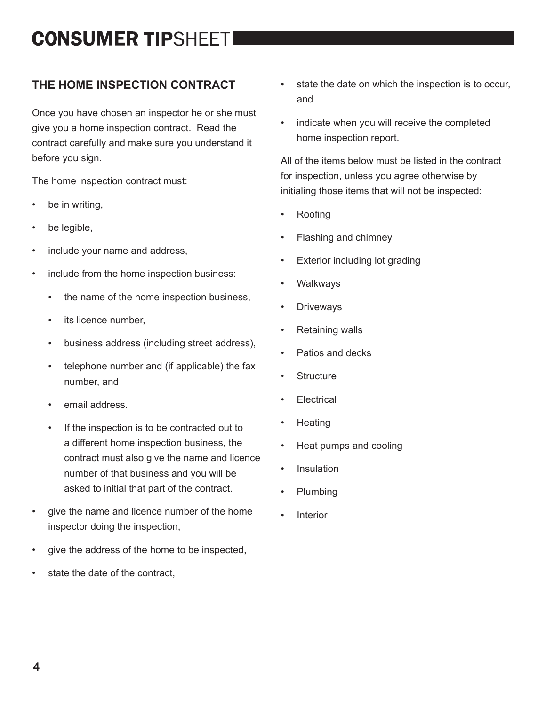#### **THE HOME INSPECTION CONTRACT**

Once you have chosen an inspector he or she must give you a home inspection contract. Read the contract carefully and make sure you understand it before you sign.

The home inspection contract must:

- be in writing,
- be legible,
- include your name and address,
- include from the home inspection business:
	- the name of the home inspection business,
	- its licence number,
	- business address (including street address),
	- telephone number and (if applicable) the fax number, and
	- email address.
	- If the inspection is to be contracted out to a different home inspection business, the contract must also give the name and licence number of that business and you will be asked to initial that part of the contract.
- give the name and licence number of the home inspector doing the inspection,
- give the address of the home to be inspected,
- state the date of the contract,
- state the date on which the inspection is to occur, and
- indicate when you will receive the completed home inspection report.

All of the items below must be listed in the contract for inspection, unless you agree otherwise by initialing those items that will not be inspected:

- Roofing
- Flashing and chimney
- **Exterior including lot grading**
- **Walkways**
- **Driveways**
- Retaining walls
- Patios and decks
- **Structure**
- **Electrical**
- Heating
- Heat pumps and cooling
- Insulation
- Plumbing
- **Interior**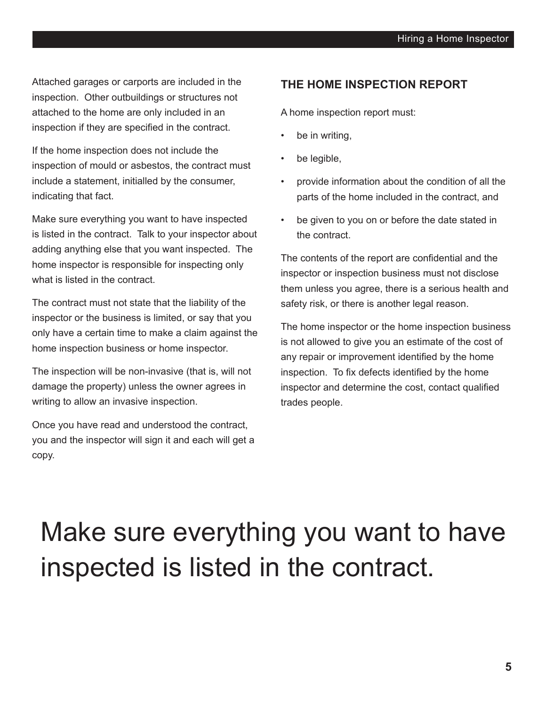Attached garages or carports are included in the inspection. Other outbuildings or structures not attached to the home are only included in an inspection if they are specified in the contract.

If the home inspection does not include the inspection of mould or asbestos, the contract must include a statement, initialled by the consumer, indicating that fact.

Make sure everything you want to have inspected is listed in the contract. Talk to your inspector about adding anything else that you want inspected. The home inspector is responsible for inspecting only what is listed in the contract.

The contract must not state that the liability of the inspector or the business is limited, or say that you only have a certain time to make a claim against the home inspection business or home inspector.

The inspection will be non-invasive (that is, will not damage the property) unless the owner agrees in writing to allow an invasive inspection.

Once you have read and understood the contract, you and the inspector will sign it and each will get a copy.

#### **THE HOME INSPECTION REPORT**

A home inspection report must:

- be in writing,
- be legible,
- provide information about the condition of all the parts of the home included in the contract, and
- be given to you on or before the date stated in the contract.

The contents of the report are confidential and the inspector or inspection business must not disclose them unless you agree, there is a serious health and safety risk, or there is another legal reason.

The home inspector or the home inspection business is not allowed to give you an estimate of the cost of any repair or improvement identified by the home inspection. To fix defects identified by the home inspector and determine the cost, contact qualified trades people.

## Make sure everything you want to have inspected is listed in the contract.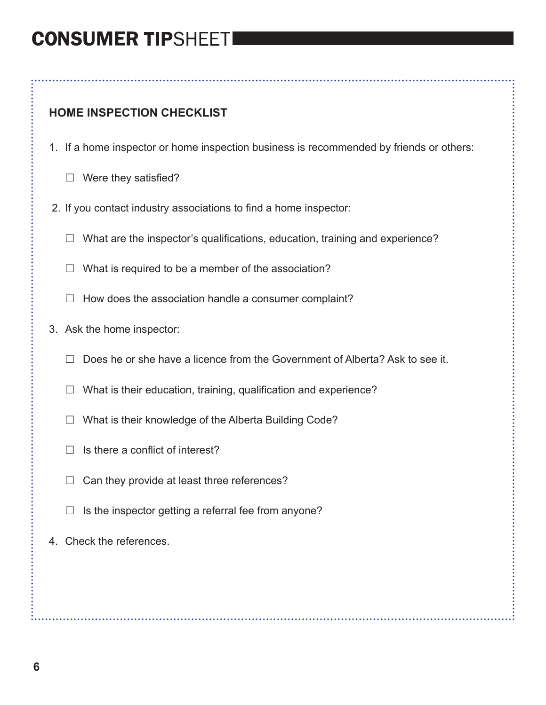#### **HOME INSPECTION CHECKLIST**

- 1. If a home inspector or home inspection business is recommended by friends or others:
	- $\Box$  Were they satisfied?
- 2. If you contact industry associations to find a home inspector:
	- $\Box$  What are the inspector's qualifications, education, training and experience?
	- $\Box$  What is required to be a member of the association?
	- $\Box$  How does the association handle a consumer complaint?
- 3. Ask the home inspector:
	- $\Box$  Does he or she have a licence from the Government of Alberta? Ask to see it.
	- $\Box$  What is their education, training, qualification and experience?
	- $\Box$  What is their knowledge of the Alberta Building Code?
	- $\Box$  Is there a conflict of interest?
	- $\Box$  Can they provide at least three references?
	- $\Box$  Is the inspector getting a referral fee from anyone?
- 4. Check the references.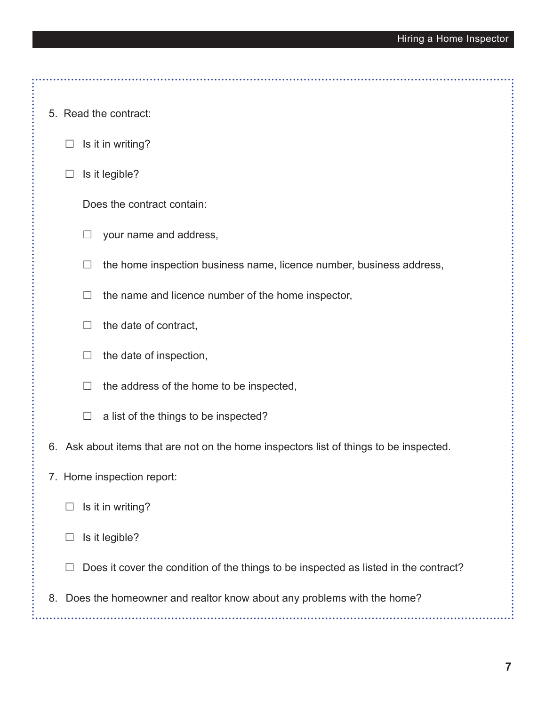- 5. Read the contract:
	- $\Box$  Is it in writing?
	- $\Box$  Is it legible?

Does the contract contain:

- $\Box$  your name and address,
- $\Box$  the home inspection business name, licence number, business address,
- $\Box$  the name and licence number of the home inspector,
- $\Box$  the date of contract,
- $\Box$  the date of inspection,
- $\Box$  the address of the home to be inspected,
- $\Box$  a list of the things to be inspected?
- 6. Ask about items that are not on the home inspectors list of things to be inspected.
- 7. Home inspection report:
	- $\Box$  Is it in writing?
	- $\Box$  Is it legible?
	- $\Box$  Does it cover the condition of the things to be inspected as listed in the contract?
- 8. Does the homeowner and realtor know about any problems with the home?